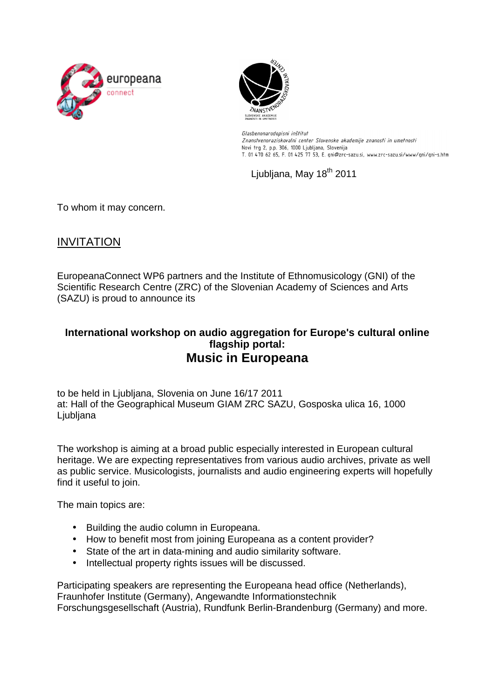



Glasbenonarodopisni inštitut Znanstvenoraziskovalni center Slovenske akademije znanosti in umetnosti Novi trg 2, p.p. 306, 1000 Ljubljana, Slovenija T. 01 470 62 65, F. 01 425 77 53, E. gni@zrc-sazu.si, www.zrc-sazu.si/www/gni/gni-s.htm

Ljubljana, May 18<sup>th</sup> 2011

To whom it may concern.

## INVITATION

EuropeanaConnect WP6 partners and the Institute of Ethnomusicology (GNI) of the Scientific Research Centre (ZRC) of the Slovenian Academy of Sciences and Arts (SAZU) is proud to announce its

## **International workshop on audio aggregation for Europe's cultural online flagship portal: Music in Europeana**

to be held in Ljubljana, Slovenia on June 16/17 2011 at: Hall of the Geographical Museum GIAM ZRC SAZU, Gosposka ulica 16, 1000 Ljubljana

The workshop is aiming at a broad public especially interested in European cultural heritage. We are expecting representatives from various audio archives, private as well as public service. Musicologists, journalists and audio engineering experts will hopefully find it useful to join.

The main topics are:

- Building the audio column in Europeana.
- How to benefit most from joining Europeana as a content provider?
- State of the art in data-mining and audio similarity software.
- Intellectual property rights issues will be discussed.

Participating speakers are representing the Europeana head office (Netherlands), Fraunhofer Institute (Germany), Angewandte Informationstechnik Forschungsgesellschaft (Austria), Rundfunk Berlin-Brandenburg (Germany) and more.